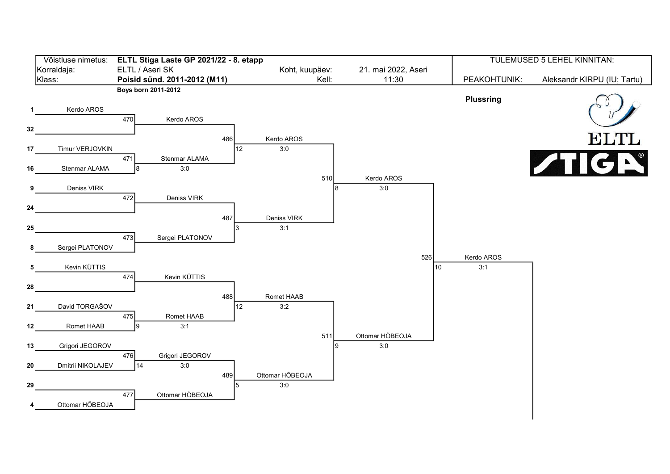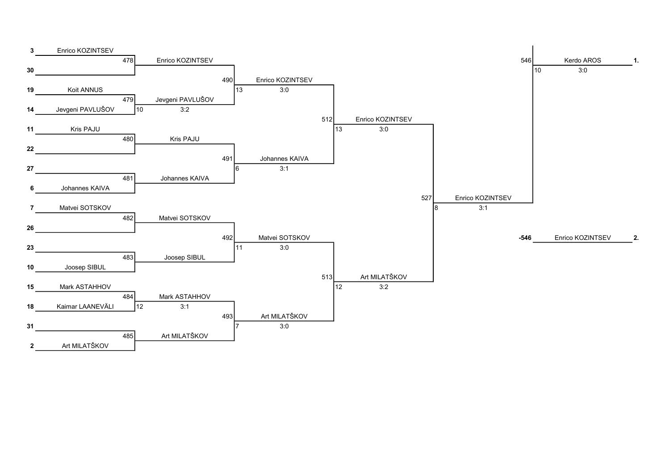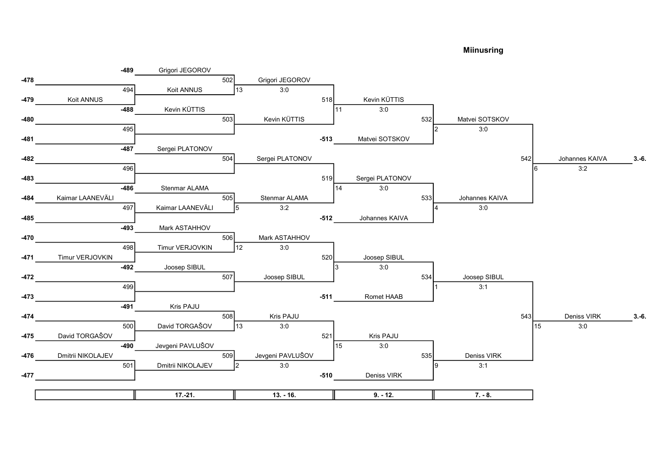Miinusring

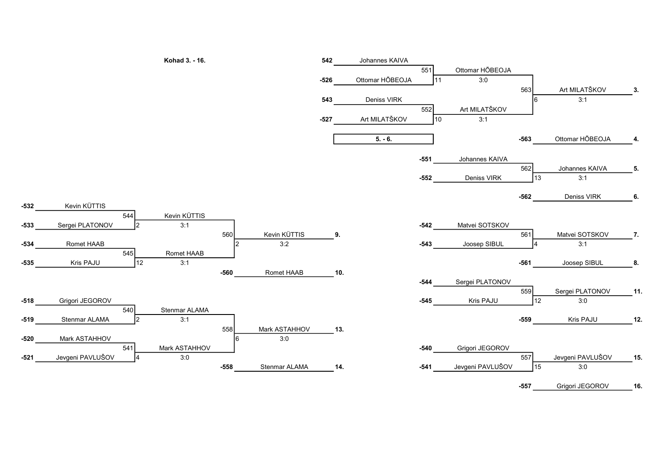

-532